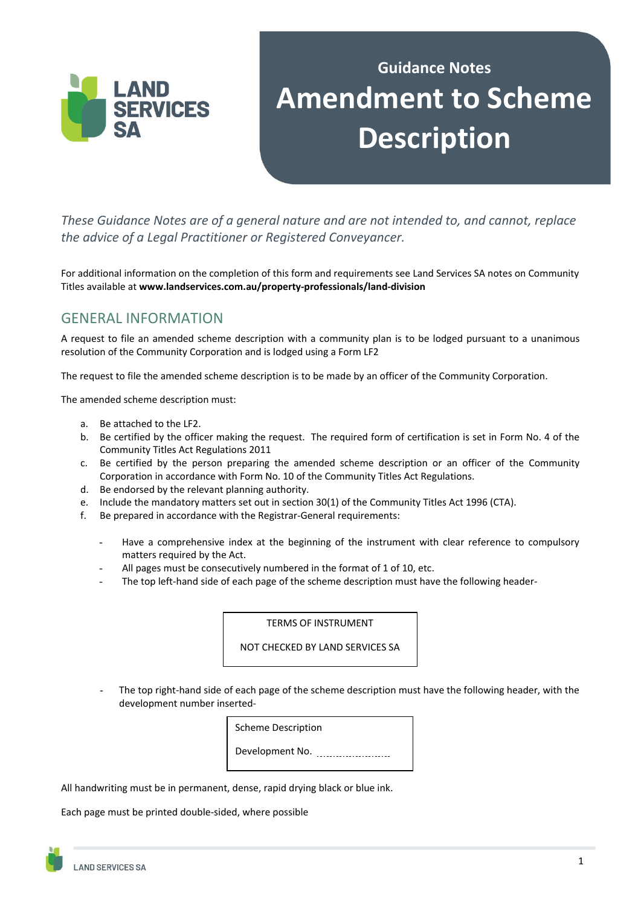

# **Guidance Notes Amendment to Scheme Description**

*These Guidance Notes are of a general nature and are not intended to, and cannot, replace the advice of a Legal Practitioner or Registered Conveyancer.* 

For additional information on the completion of this form and requirements see Land Services SA notes on Community Titles available at **www.landservices.com.au/property‐professionals/land‐division**

# GENERAL INFORMATION

A request to file an amended scheme description with a community plan is to be lodged pursuant to a unanimous resolution of the Community Corporation and is lodged using a Form LF2

The request to file the amended scheme description is to be made by an officer of the Community Corporation.

The amended scheme description must:

- a. Be attached to the LF2.
- b. Be certified by the officer making the request. The required form of certification is set in Form No. 4 of the Community Titles Act Regulations 2011
- c. Be certified by the person preparing the amended scheme description or an officer of the Community Corporation in accordance with Form No. 10 of the Community Titles Act Regulations.
- d. Be endorsed by the relevant planning authority.
- e. Include the mandatory matters set out in section 30(1) of the Community Titles Act 1996 (CTA).
- f. Be prepared in accordance with the Registrar-General requirements:
	- Have a comprehensive index at the beginning of the instrument with clear reference to compulsory matters required by the Act.
	- All pages must be consecutively numbered in the format of 1 of 10, etc.
	- The top left-hand side of each page of the scheme description must have the following header-

TERMS OF INSTRUMENT

NOT CHECKED BY LAND SERVICES SA

The top right-hand side of each page of the scheme description must have the following header, with the development number inserted-



All handwriting must be in permanent, dense, rapid drying black or blue ink.

Each page must be printed double-sided, where possible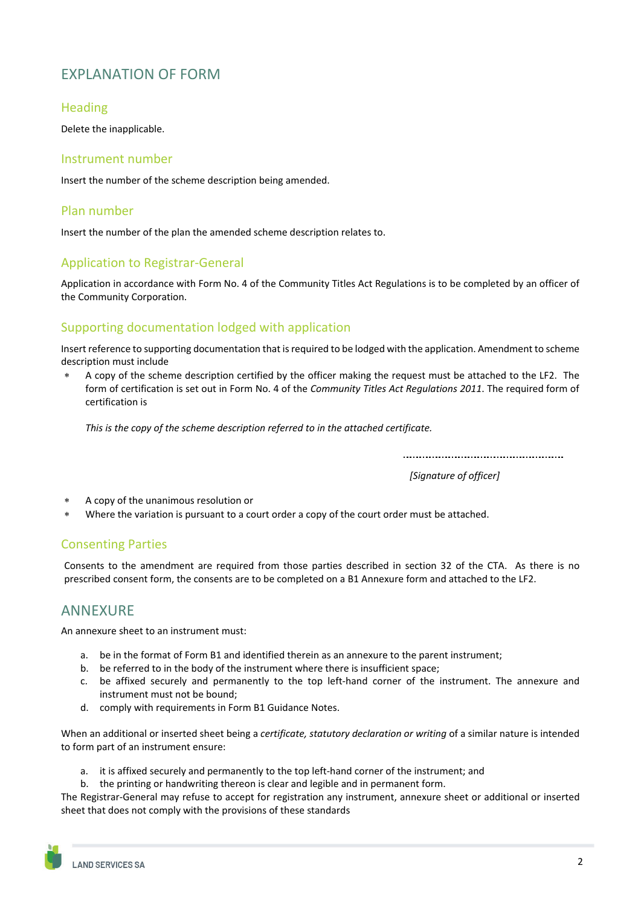# EXPLANATION OF FORM

#### **Heading**

Delete the inapplicable.

#### Instrument number

Insert the number of the scheme description being amended.

#### Plan number

Insert the number of the plan the amended scheme description relates to.

## Application to Registrar-General

Application in accordance with Form No. 4 of the Community Titles Act Regulations is to be completed by an officer of the Community Corporation.

## Supporting documentation lodged with application

Insert reference to supporting documentation that is required to be lodged with the application. Amendment to scheme description must include

 A copy of the scheme description certified by the officer making the request must be attached to the LF2. The form of certification is set out in Form No. 4 of the *Community Titles Act Regulations 2011*. The required form of certification is

*This is the copy of the scheme description referred to in the attached certificate.*

*[Signature of officer]*

 $\overline{a}$ 

- A copy of the unanimous resolution or
- Where the variation is pursuant to a court order a copy of the court order must be attached.

## Consenting Parties

Consents to the amendment are required from those parties described in section 32 of the CTA. As there is no prescribed consent form, the consents are to be completed on a B1 Annexure form and attached to the LF2.

# **ANNEXURE**

An annexure sheet to an instrument must:

- a. be in the format of Form B1 and identified therein as an annexure to the parent instrument;
- b. be referred to in the body of the instrument where there is insufficient space;
- c. be affixed securely and permanently to the top left-hand corner of the instrument. The annexure and instrument must not be bound;
- d. comply with requirements in Form B1 Guidance Notes.

When an additional or inserted sheet being a *certificate, statutory declaration or writing* of a similar nature is intended to form part of an instrument ensure:

- a. it is affixed securely and permanently to the top left-hand corner of the instrument; and
- b. the printing or handwriting thereon is clear and legible and in permanent form.

The Registrar-General may refuse to accept for registration any instrument, annexure sheet or additional or inserted sheet that does not comply with the provisions of these standards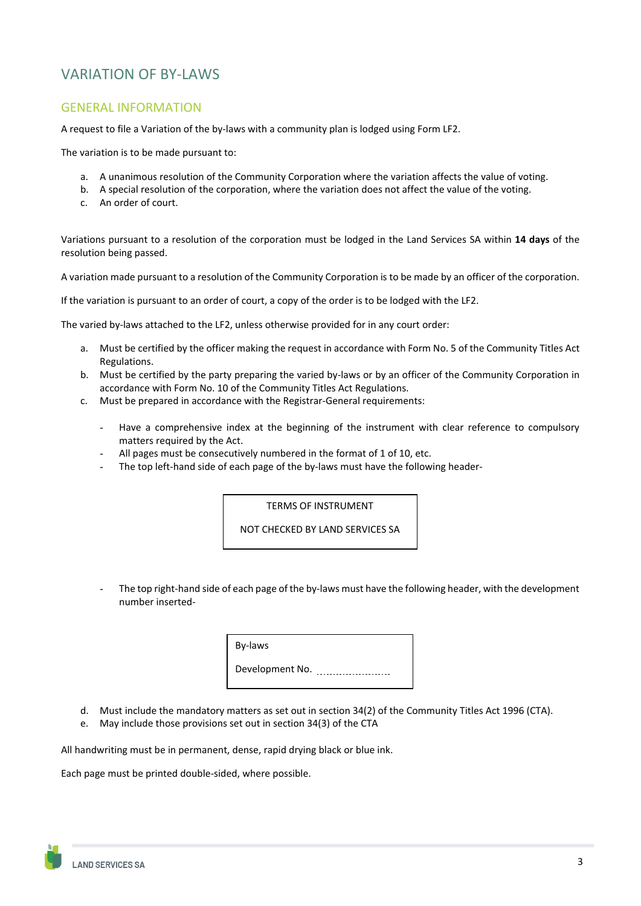# VARIATION OF BY-LAWS

#### GENERAL INFORMATION

A request to file a Variation of the by-laws with a community plan is lodged using Form LF2.

The variation is to be made pursuant to:

- a. A unanimous resolution of the Community Corporation where the variation affects the value of voting.
- b. A special resolution of the corporation, where the variation does not affect the value of the voting.
- c. An order of court.

Variations pursuant to a resolution of the corporation must be lodged in the Land Services SA within **14 days** of the resolution being passed.

A variation made pursuant to a resolution of the Community Corporation is to be made by an officer of the corporation.

If the variation is pursuant to an order of court, a copy of the order is to be lodged with the LF2.

The varied by-laws attached to the LF2, unless otherwise provided for in any court order:

- a. Must be certified by the officer making the request in accordance with Form No. 5 of the Community Titles Act Regulations.
- b. Must be certified by the party preparing the varied by-laws or by an officer of the Community Corporation in accordance with Form No. 10 of the Community Titles Act Regulations.
- c. Must be prepared in accordance with the Registrar-General requirements:
	- Have a comprehensive index at the beginning of the instrument with clear reference to compulsory matters required by the Act.
	- All pages must be consecutively numbered in the format of 1 of 10, etc.
	- The top left-hand side of each page of the by-laws must have the following header-

TERMS OF INSTRUMENT

NOT CHECKED BY LAND SERVICES SA

The top right-hand side of each page of the by-laws must have the following header, with the development number inserted-

> By-laws Development No.

- d. Must include the mandatory matters as set out in section 34(2) of the Community Titles Act 1996 (CTA).
- e. May include those provisions set out in section 34(3) of the CTA

All handwriting must be in permanent, dense, rapid drying black or blue ink.

Each page must be printed double-sided, where possible.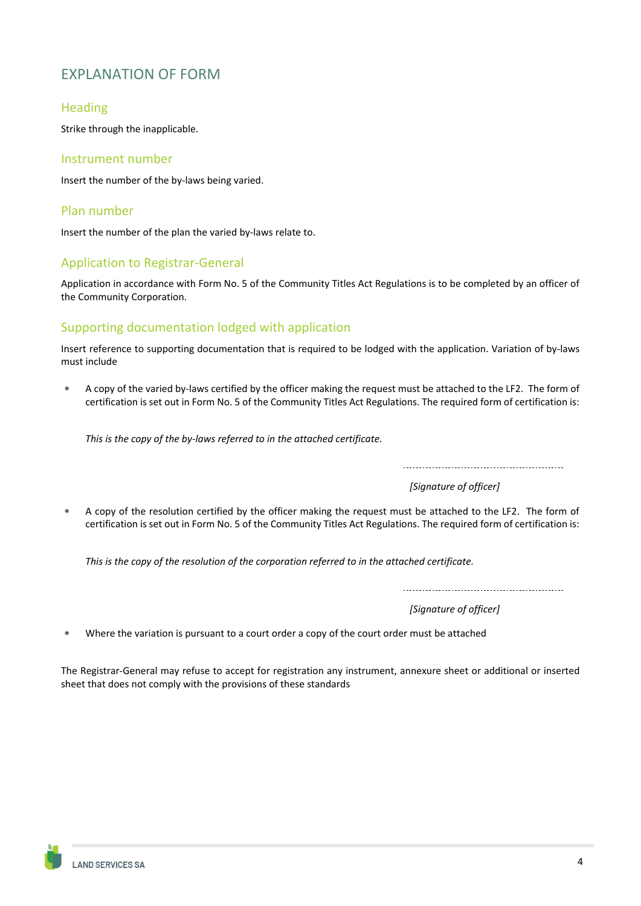# EXPLANATION OF FORM

#### Heading

Strike through the inapplicable.

#### Instrument number

Insert the number of the by-laws being varied.

#### Plan number

Insert the number of the plan the varied by-laws relate to.

## Application to Registrar-General

Application in accordance with Form No. 5 of the Community Titles Act Regulations is to be completed by an officer of the Community Corporation.

## Supporting documentation lodged with application

Insert reference to supporting documentation that is required to be lodged with the application. Variation of by-laws must include

 A copy of the varied by-laws certified by the officer making the request must be attached to the LF2. The form of certification is set out in Form No. 5 of the Community Titles Act Regulations. The required form of certification is:

*This is the copy of the by‐laws referred to in the attached certificate.*

*[Signature of officer]*

 $\overline{a}$ 

 A copy of the resolution certified by the officer making the request must be attached to the LF2. The form of certification is set out in Form No. 5 of the Community Titles Act Regulations. The required form of certification is:

*This is the copy of the resolution of the corporation referred to in the attached certificate.*

 $\overline{a}$ 

*[Signature of officer]*

Where the variation is pursuant to a court order a copy of the court order must be attached

The Registrar-General may refuse to accept for registration any instrument, annexure sheet or additional or inserted sheet that does not comply with the provisions of these standards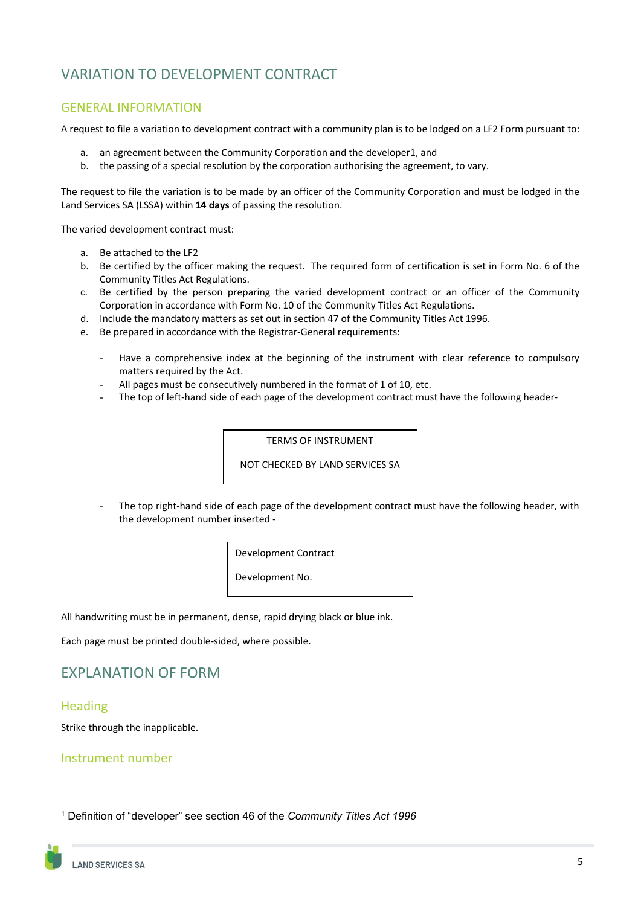# VARIATION TO DEVELOPMENT CONTRACT

#### GENERAL INFORMATION

A request to file a variation to development contract with a community plan is to be lodged on a LF2 Form pursuant to:

- a. an agreement between the Community Corporation and the developer1, and
- b. the passing of a special resolution by the corporation authorising the agreement, to vary.

The request to file the variation is to be made by an officer of the Community Corporation and must be lodged in the Land Services SA (LSSA) within **14 days** of passing the resolution.

The varied development contract must:

- a. Be attached to the LF2
- b. Be certified by the officer making the request. The required form of certification is set in Form No. 6 of the Community Titles Act Regulations.
- c. Be certified by the person preparing the varied development contract or an officer of the Community Corporation in accordance with Form No. 10 of the Community Titles Act Regulations.
- d. Include the mandatory matters as set out in section 47 of the Community Titles Act 1996.
- e. Be prepared in accordance with the Registrar-General requirements:
	- Have a comprehensive index at the beginning of the instrument with clear reference to compulsory matters required by the Act.
	- All pages must be consecutively numbered in the format of 1 of 10, etc.
	- The top of left-hand side of each page of the development contract must have the following header-

TERMS OF INSTRUMENT

NOT CHECKED BY LAND SERVICES SA

The top right-hand side of each page of the development contract must have the following header, with the development number inserted -

Development Contract

Development No.

All handwriting must be in permanent, dense, rapid drying black or blue ink.

Each page must be printed double-sided, where possible.

# EXPLANATION OF FORM

#### **Heading**

Strike through the inapplicable.

#### Instrument number

<sup>1</sup> Definition of "developer" see section 46 of the *Community Titles Act 1996*